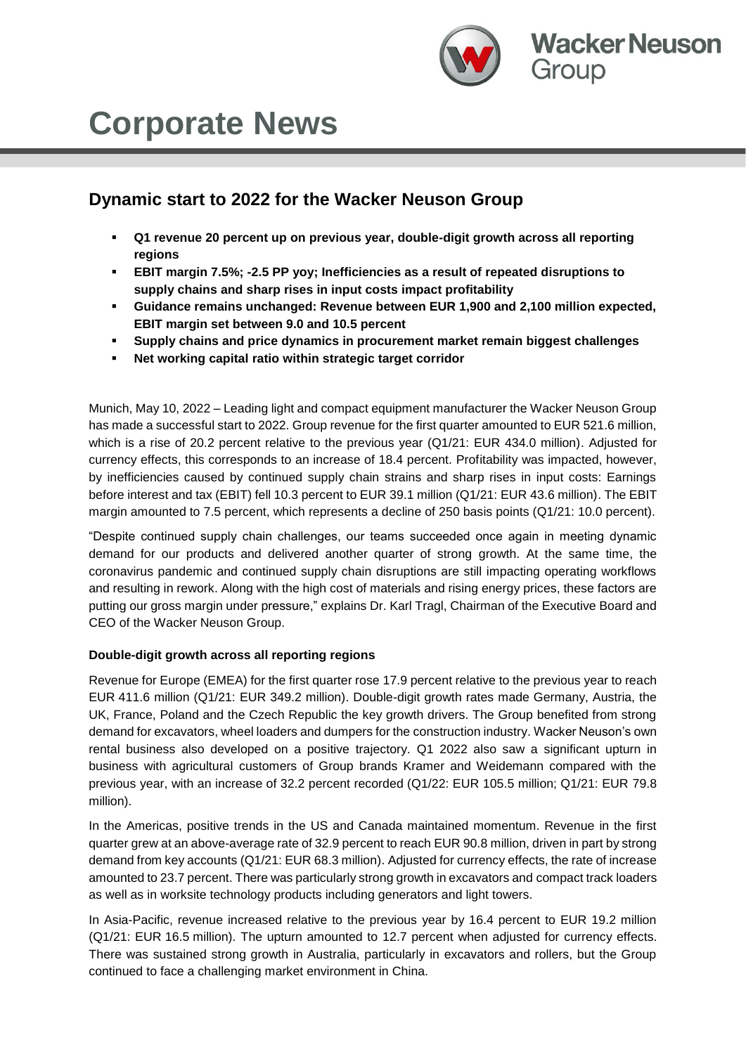

## **Dynamic start to 2022 for the Wacker Neuson Group**

- **Q1 revenue 20 percent up on previous year, double-digit growth across all reporting regions**
- **EBIT margin 7.5%; -2.5 PP yoy; Inefficiencies as a result of repeated disruptions to supply chains and sharp rises in input costs impact profitability**
- Guidance remains unchanged: Revenue between EUR 1,900 and 2,100 million expected, **EBIT margin set between 9.0 and 10.5 percent**
- **Supply chains and price dynamics in procurement market remain biggest challenges**
- Net working capital ratio within strategic target corridor

Munich, May 10, 2022 – Leading light and compact equipment manufacturer the Wacker Neuson Group has made a successful start to 2022. Group revenue for the first quarter amounted to EUR 521.6 million, which is a rise of 20.2 percent relative to the previous year (Q1/21: EUR 434.0 million). Adjusted for currency effects, this corresponds to an increase of 18.4 percent. Profitability was impacted, however, by inefficiencies caused by continued supply chain strains and sharp rises in input costs: Earnings before interest and tax (EBIT) fell 10.3 percent to EUR 39.1 million (Q1/21: EUR 43.6 million). The EBIT margin amounted to 7.5 percent, which represents a decline of 250 basis points (Q1/21: 10.0 percent).

"Despite continued supply chain challenges, our teams succeeded once again in meeting dynamic demand for our products and delivered another quarter of strong growth. At the same time, the coronavirus pandemic and continued supply chain disruptions are still impacting operating workflows and resulting in rework. Along with the high cost of materials and rising energy prices, these factors are putting our gross margin under pressure," explains Dr. Karl Tragl, Chairman of the Executive Board and CEO of the Wacker Neuson Group.

### **Double-digit growth across all reporting regions**

Revenue for Europe (EMEA) for the first quarter rose 17.9 percent relative to the previous year to reach EUR 411.6 million (Q1/21: EUR 349.2 million). Double-digit growth rates made Germany, Austria, the UK, France, Poland and the Czech Republic the key growth drivers. The Group benefited from strong demand for excavators, wheel loaders and dumpers for the construction industry. Wacker Neuson's own rental business also developed on a positive trajectory. Q1 2022 also saw a significant upturn in business with agricultural customers of Group brands Kramer and Weidemann compared with the previous year, with an increase of 32.2 percent recorded (Q1/22: EUR 105.5 million; Q1/21: EUR 79.8 million).

In the Americas, positive trends in the US and Canada maintained momentum. Revenue in the first quarter grew at an above-average rate of 32.9 percent to reach EUR 90.8 million, driven in part by strong demand from key accounts (Q1/21: EUR 68.3 million). Adjusted for currency effects, the rate of increase amounted to 23.7 percent. There was particularly strong growth in excavators and compact track loaders as well as in worksite technology products including generators and light towers.

In Asia-Pacific, revenue increased relative to the previous year by 16.4 percent to EUR 19.2 million (Q1/21: EUR 16.5 million). The upturn amounted to 12.7 percent when adjusted for currency effects. There was sustained strong growth in Australia, particularly in excavators and rollers, but the Group continued to face a challenging market environment in China.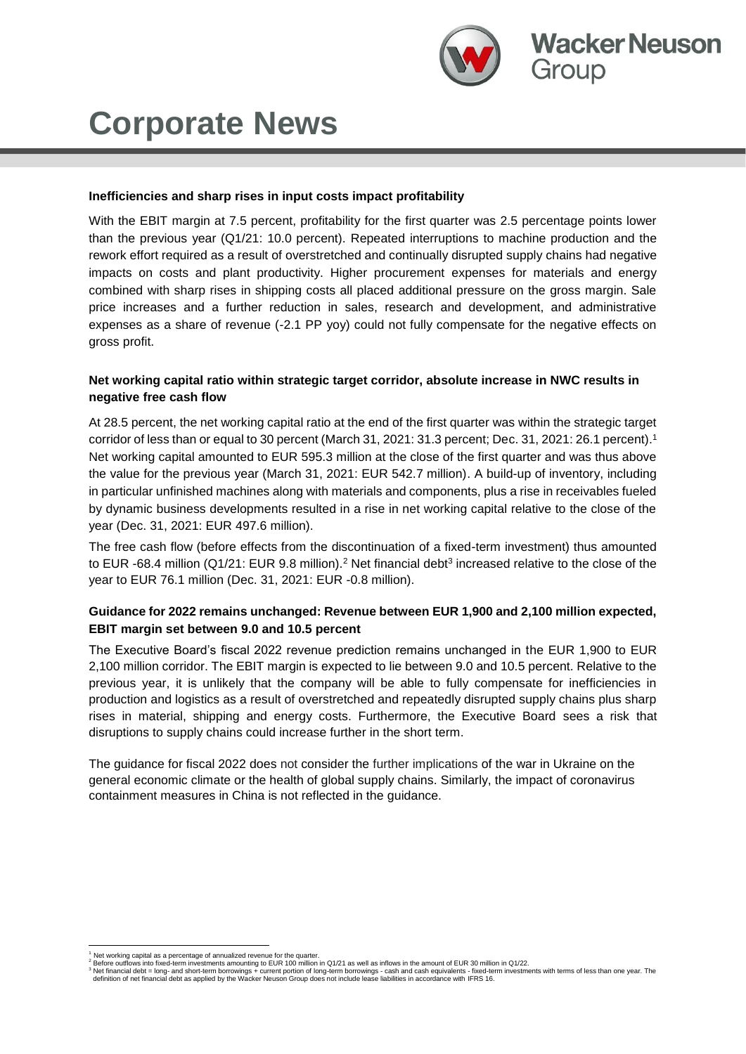

# **Corporate News**

#### **Inefficiencies and sharp rises in input costs impact profitability**

With the EBIT margin at 7.5 percent, profitability for the first quarter was 2.5 percentage points lower than the previous year (Q1/21: 10.0 percent). Repeated interruptions to machine production and the rework effort required as a result of overstretched and continually disrupted supply chains had negative impacts on costs and plant productivity. Higher procurement expenses for materials and energy combined with sharp rises in shipping costs all placed additional pressure on the gross margin. Sale price increases and a further reduction in sales, research and development, and administrative expenses as a share of revenue (-2.1 PP yoy) could not fully compensate for the negative effects on gross profit.

### **Net working capital ratio within strategic target corridor, absolute increase in NWC results in negative free cash flow**

At 28.5 percent, the net working capital ratio at the end of the first quarter was within the strategic target corridor of less than or equal to 30 percent (March 31, 2021: 31.3 percent; Dec. 31, 2021: 26.1 percent). 1 Net working capital amounted to EUR 595.3 million at the close of the first quarter and was thus above the value for the previous year (March 31, 2021: EUR 542.7 million). A build-up of inventory, including in particular unfinished machines along with materials and components, plus a rise in receivables fueled by dynamic business developments resulted in a rise in net working capital relative to the close of the year (Dec. 31, 2021: EUR 497.6 million).

The free cash flow (before effects from the discontinuation of a fixed-term investment) thus amounted to EUR -68.4 million (Q1/21: EUR 9.8 million).<sup>2</sup> Net financial debt<sup>3</sup> increased relative to the close of the year to EUR 76.1 million (Dec. 31, 2021: EUR -0.8 million).

## **Guidance for 2022 remains unchanged: Revenue between EUR 1,900 and 2,100 million expected, EBIT margin set between 9.0 and 10.5 percent**

The Executive Board's fiscal 2022 revenue prediction remains unchanged in the EUR 1,900 to EUR 2,100 million corridor. The EBIT margin is expected to lie between 9.0 and 10.5 percent. Relative to the previous year, it is unlikely that the company will be able to fully compensate for inefficiencies in production and logistics as a result of overstretched and repeatedly disrupted supply chains plus sharp rises in material, shipping and energy costs. Furthermore, the Executive Board sees a risk that disruptions to supply chains could increase further in the short term.

The guidance for fiscal 2022 does not consider the further implications of the war in Ukraine on the general economic climate or the health of global supply chains. Similarly, the impact of coronavirus containment measures in China is not reflected in the guidance.

 $\overline{a}$ 

<sup>&</sup>lt;sup>1</sup> Net working capital as a percentage of annualized revenue for the quarter.<br><sup>2</sup> Before outflows into fixed-term investments amounting to EUR 100 million in Q1/21 as well as inflows in the amount of EUR 30 million in Q1

<sup>3</sup> Net financial debt = long- and short-term borrowings + current portion of long-term borrowings - cash and cash equivalents - fixed-term investments with terms of less than one year. The definition of net financial debt as applied by the Wacker Neuson Group does not include lease liabilities in accordance with IFRS 16.